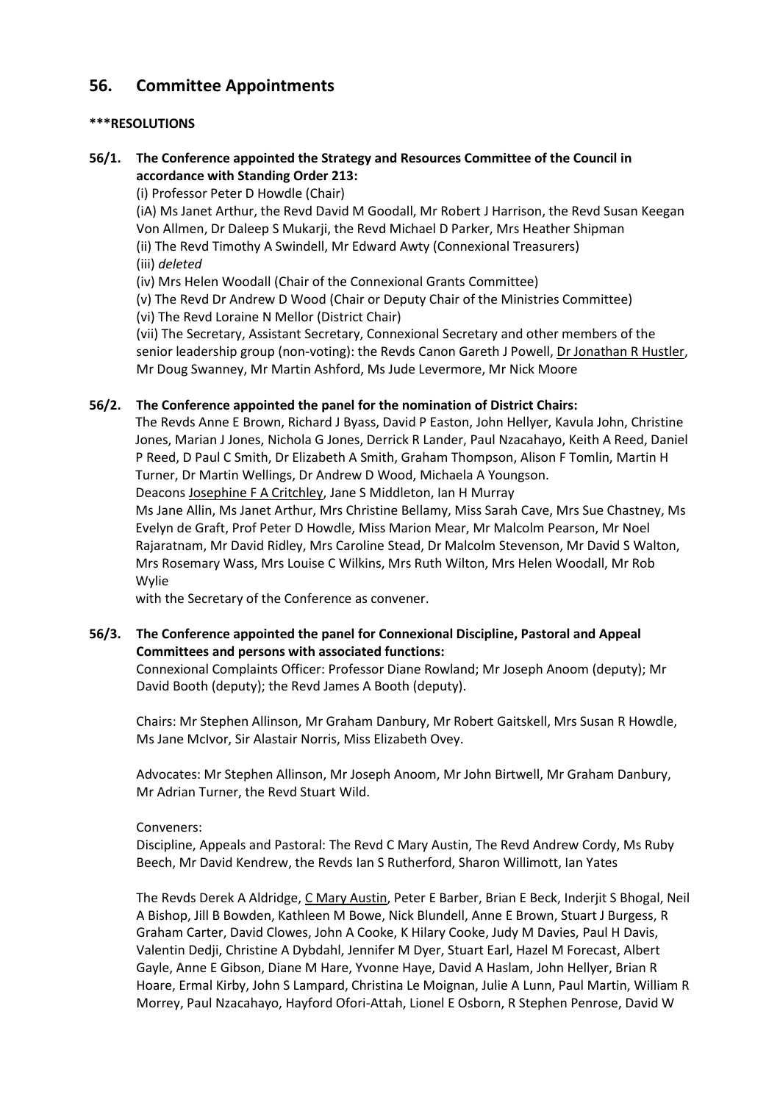# **56. Committee Appointments**

## **\*\*\*RESOLUTIONS**

## **56/1. The Conference appointed the Strategy and Resources Committee of the Council in accordance with Standing Order 213:**

(i) Professor Peter D Howdle (Chair)

(iA) Ms Janet Arthur, the Revd David M Goodall, Mr Robert J Harrison, the Revd Susan Keegan Von Allmen, Dr Daleep S Mukarji, the Revd Michael D Parker, Mrs Heather Shipman

(ii) The Revd Timothy A Swindell, Mr Edward Awty (Connexional Treasurers) (iii) *deleted* 

(iv) Mrs Helen Woodall (Chair of the Connexional Grants Committee)

(v) The Revd Dr Andrew D Wood (Chair or Deputy Chair of the Ministries Committee)

(vi) The Revd Loraine N Mellor (District Chair)

(vii) The Secretary, Assistant Secretary, Connexional Secretary and other members of the senior leadership group (non-voting): the Revds Canon Gareth J Powell, Dr Jonathan R Hustler, Mr Doug Swanney, Mr Martin Ashford, Ms Jude Levermore, Mr Nick Moore

## **56/2. The Conference appointed the panel for the nomination of District Chairs:**

The Revds Anne E Brown, Richard J Byass, David P Easton, John Hellyer, Kavula John, Christine Jones, Marian J Jones, Nichola G Jones, Derrick R Lander, Paul Nzacahayo, Keith A Reed, Daniel P Reed, D Paul C Smith, Dr Elizabeth A Smith, Graham Thompson, Alison F Tomlin, Martin H Turner, Dr Martin Wellings, Dr Andrew D Wood, Michaela A Youngson.

Deacons Josephine F A Critchley, Jane S Middleton, Ian H Murray

Ms Jane Allin, Ms Janet Arthur, Mrs Christine Bellamy, Miss Sarah Cave, Mrs Sue Chastney, Ms Evelyn de Graft, Prof Peter D Howdle, Miss Marion Mear, Mr Malcolm Pearson, Mr Noel Rajaratnam, Mr David Ridley, Mrs Caroline Stead, Dr Malcolm Stevenson, Mr David S Walton, Mrs Rosemary Wass, Mrs Louise C Wilkins, Mrs Ruth Wilton, Mrs Helen Woodall, Mr Rob Wylie

with the Secretary of the Conference as convener.

## **56/3. The Conference appointed the panel for Connexional Discipline, Pastoral and Appeal Committees and persons with associated functions:**

Connexional Complaints Officer: Professor Diane Rowland; Mr Joseph Anoom (deputy); Mr David Booth (deputy); the Revd James A Booth (deputy).

Chairs: Mr Stephen Allinson, Mr Graham Danbury, Mr Robert Gaitskell, Mrs Susan R Howdle, Ms Jane McIvor, Sir Alastair Norris, Miss Elizabeth Ovey.

Advocates: Mr Stephen Allinson, Mr Joseph Anoom, Mr John Birtwell, Mr Graham Danbury, Mr Adrian Turner, the Revd Stuart Wild.

### Conveners:

Discipline, Appeals and Pastoral: The Revd C Mary Austin, The Revd Andrew Cordy, Ms Ruby Beech, Mr David Kendrew, the Revds Ian S Rutherford, Sharon Willimott, Ian Yates

The Revds Derek A Aldridge, C Mary Austin, Peter E Barber, Brian E Beck, Inderjit S Bhogal, Neil A Bishop, Jill B Bowden, Kathleen M Bowe, Nick Blundell, Anne E Brown, Stuart J Burgess, R Graham Carter, David Clowes, John A Cooke, K Hilary Cooke, Judy M Davies, Paul H Davis, Valentin Dedji, Christine A Dybdahl, Jennifer M Dyer, Stuart Earl, Hazel M Forecast, Albert Gayle, Anne E Gibson, Diane M Hare, Yvonne Haye, David A Haslam, John Hellyer, Brian R Hoare, Ermal Kirby, John S Lampard, Christina Le Moignan, Julie A Lunn, Paul Martin, William R Morrey, Paul Nzacahayo, Hayford Ofori-Attah, Lionel E Osborn, R Stephen Penrose, David W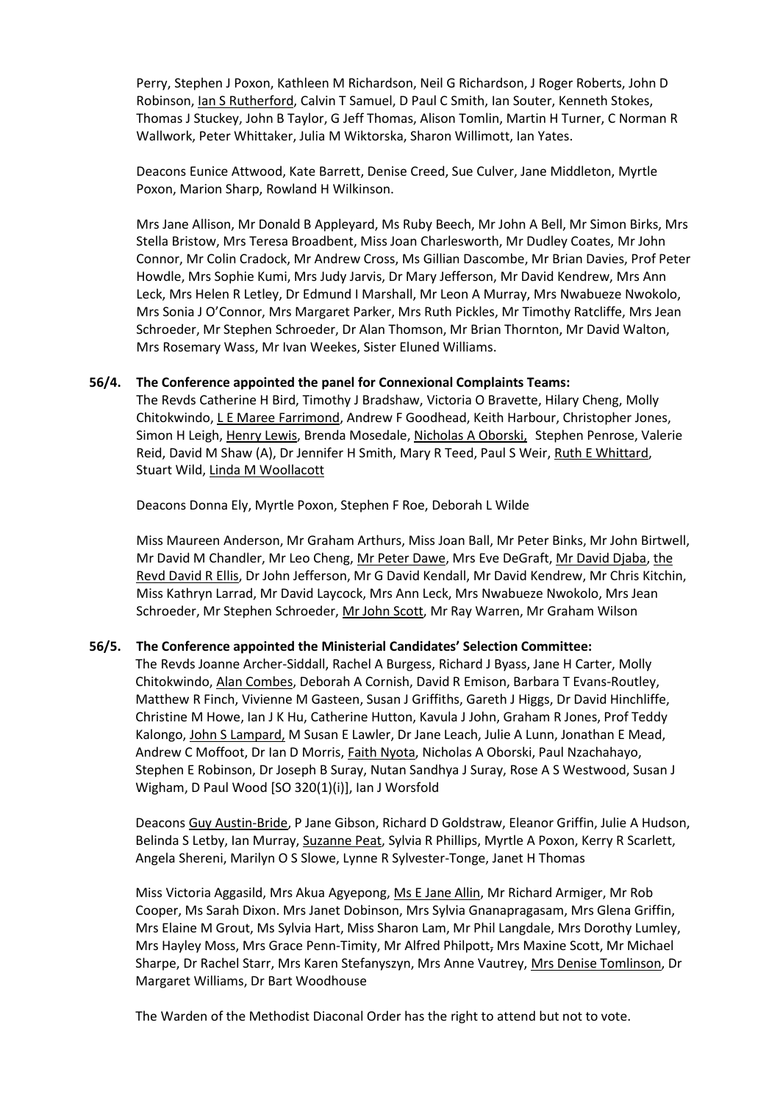Perry, Stephen J Poxon, Kathleen M Richardson, Neil G Richardson, J Roger Roberts, John D Robinson, Ian S Rutherford, Calvin T Samuel, D Paul C Smith, Ian Souter, Kenneth Stokes, Thomas J Stuckey, John B Taylor, G Jeff Thomas, Alison Tomlin, Martin H Turner, C Norman R Wallwork, Peter Whittaker, Julia M Wiktorska, Sharon Willimott, Ian Yates.

Deacons Eunice Attwood, Kate Barrett, Denise Creed, Sue Culver, Jane Middleton, Myrtle Poxon, Marion Sharp, Rowland H Wilkinson.

Mrs Jane Allison, Mr Donald B Appleyard, Ms Ruby Beech, Mr John A Bell, Mr Simon Birks, Mrs Stella Bristow, Mrs Teresa Broadbent, Miss Joan Charlesworth, Mr Dudley Coates, Mr John Connor, Mr Colin Cradock, Mr Andrew Cross, Ms Gillian Dascombe, Mr Brian Davies, Prof Peter Howdle, Mrs Sophie Kumi, Mrs Judy Jarvis, Dr Mary Jefferson, Mr David Kendrew, Mrs Ann Leck, Mrs Helen R Letley, Dr Edmund I Marshall, Mr Leon A Murray, Mrs Nwabueze Nwokolo, Mrs Sonia J O'Connor, Mrs Margaret Parker, Mrs Ruth Pickles, Mr Timothy Ratcliffe, Mrs Jean Schroeder, Mr Stephen Schroeder, Dr Alan Thomson, Mr Brian Thornton, Mr David Walton, Mrs Rosemary Wass, Mr Ivan Weekes, Sister Eluned Williams.

### **56/4. The Conference appointed the panel for Connexional Complaints Teams:**

The Revds Catherine H Bird, Timothy J Bradshaw, Victoria O Bravette, Hilary Cheng, Molly Chitokwindo, L E Maree Farrimond, Andrew F Goodhead, Keith Harbour, Christopher Jones, Simon H Leigh, Henry Lewis, Brenda Mosedale, Nicholas A Oborski, Stephen Penrose, Valerie Reid, David M Shaw (A), Dr Jennifer H Smith, Mary R Teed, Paul S Weir, Ruth E Whittard, Stuart Wild, Linda M Woollacott

Deacons Donna Ely, Myrtle Poxon, Stephen F Roe, Deborah L Wilde

Miss Maureen Anderson, Mr Graham Arthurs, Miss Joan Ball, Mr Peter Binks, Mr John Birtwell, Mr David M Chandler, Mr Leo Cheng, Mr Peter Dawe, Mrs Eve DeGraft, Mr David Djaba, the Revd David R Ellis, Dr John Jefferson, Mr G David Kendall, Mr David Kendrew, Mr Chris Kitchin, Miss Kathryn Larrad, Mr David Laycock, Mrs Ann Leck, Mrs Nwabueze Nwokolo, Mrs Jean Schroeder, Mr Stephen Schroeder, Mr John Scott, Mr Ray Warren, Mr Graham Wilson

### **56/5. The Conference appointed the Ministerial Candidates' Selection Committee:**

The Revds Joanne Archer-Siddall, Rachel A Burgess, Richard J Byass, Jane H Carter, Molly Chitokwindo, Alan Combes, Deborah A Cornish, David R Emison, Barbara T Evans-Routley, Matthew R Finch, Vivienne M Gasteen, Susan J Griffiths, Gareth J Higgs, Dr David Hinchliffe, Christine M Howe, Ian J K Hu, Catherine Hutton, Kavula J John, Graham R Jones, Prof Teddy Kalongo, John S Lampard, M Susan E Lawler, Dr Jane Leach, Julie A Lunn, Jonathan E Mead, Andrew C Moffoot, Dr Ian D Morris, Faith Nyota, Nicholas A Oborski, Paul Nzachahayo, Stephen E Robinson, Dr Joseph B Suray, Nutan Sandhya J Suray, Rose A S Westwood, Susan J Wigham, D Paul Wood [SO 320(1)(i)], Ian J Worsfold

Deacons Guy Austin-Bride, P Jane Gibson, Richard D Goldstraw, Eleanor Griffin, Julie A Hudson, Belinda S Letby, Ian Murray, Suzanne Peat, Sylvia R Phillips, Myrtle A Poxon, Kerry R Scarlett, Angela Shereni, Marilyn O S Slowe, Lynne R Sylvester-Tonge, Janet H Thomas

Miss Victoria Aggasild, Mrs Akua Agyepong, Ms E Jane Allin, Mr Richard Armiger, Mr Rob Cooper, Ms Sarah Dixon. Mrs Janet Dobinson, Mrs Sylvia Gnanapragasam, Mrs Glena Griffin, Mrs Elaine M Grout, Ms Sylvia Hart, Miss Sharon Lam, Mr Phil Langdale, Mrs Dorothy Lumley, Mrs Hayley Moss, Mrs Grace Penn-Timity, Mr Alfred Philpott, Mrs Maxine Scott, Mr Michael Sharpe, Dr Rachel Starr, Mrs Karen Stefanyszyn, Mrs Anne Vautrey, Mrs Denise Tomlinson, Dr Margaret Williams, Dr Bart Woodhouse

The Warden of the Methodist Diaconal Order has the right to attend but not to vote.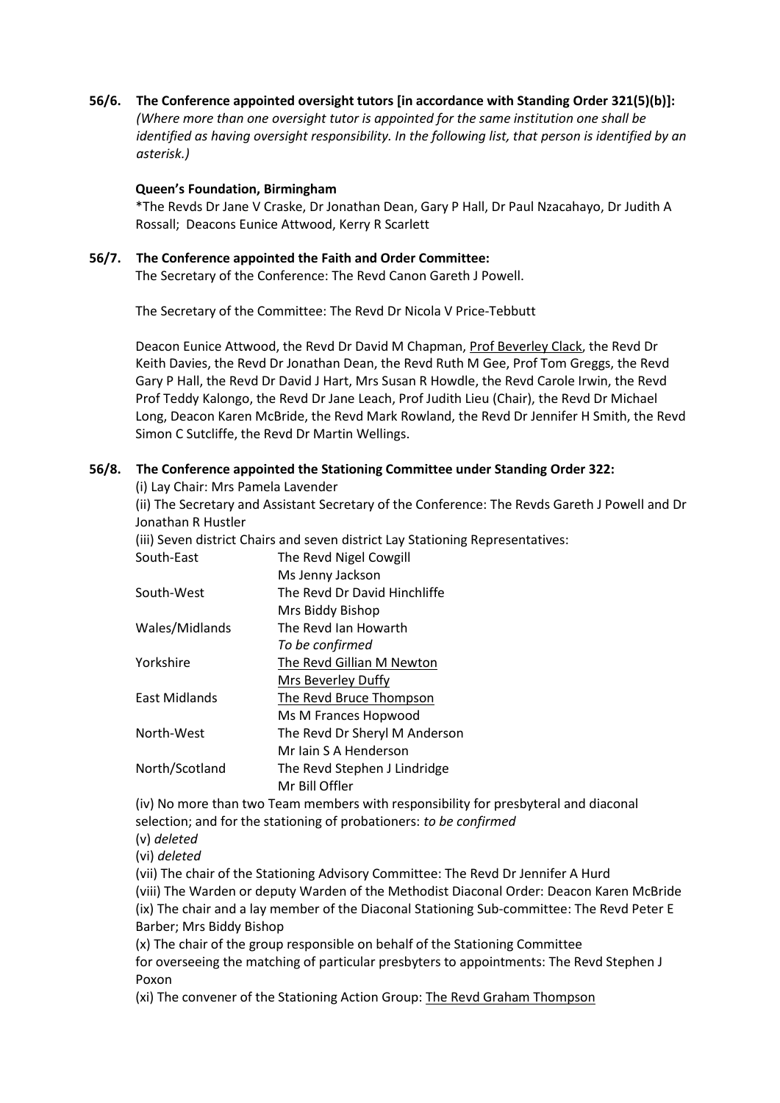**56/6. The Conference appointed oversight tutors [in accordance with Standing Order 321(5)(b)]:** *(Where more than one oversight tutor is appointed for the same institution one shall be identified as having oversight responsibility. In the following list, that person is identified by an asterisk.)*

## **Queen's Foundation, Birmingham**

\*The Revds Dr Jane V Craske, Dr Jonathan Dean, Gary P Hall, Dr Paul Nzacahayo, Dr Judith A Rossall; Deacons Eunice Attwood, Kerry R Scarlett

## **56/7. The Conference appointed the Faith and Order Committee:**

The Secretary of the Conference: The Revd Canon Gareth J Powell.

The Secretary of the Committee: The Revd Dr Nicola V Price-Tebbutt

Deacon Eunice Attwood, the Revd Dr David M Chapman, Prof Beverley Clack, the Revd Dr Keith Davies, the Revd Dr Jonathan Dean, the Revd Ruth M Gee, Prof Tom Greggs, the Revd Gary P Hall, the Revd Dr David J Hart, Mrs Susan R Howdle, the Revd Carole Irwin, the Revd Prof Teddy Kalongo, the Revd Dr Jane Leach, Prof Judith Lieu (Chair), the Revd Dr Michael Long, Deacon Karen McBride, the Revd Mark Rowland, the Revd Dr Jennifer H Smith, the Revd Simon C Sutcliffe, the Revd Dr Martin Wellings.

## **56/8. The Conference appointed the Stationing Committee under Standing Order 322:**

(i) Lay Chair: Mrs Pamela Lavender

(ii) The Secretary and Assistant Secretary of the Conference: The Revds Gareth J Powell and Dr Jonathan R Hustler

(iii) Seven district Chairs and seven district Lay Stationing Representatives:

| South-East           | The Revd Nigel Cowgill        |
|----------------------|-------------------------------|
|                      | Ms Jenny Jackson              |
| South-West           | The Revd Dr David Hinchliffe  |
|                      | Mrs Biddy Bishop              |
| Wales/Midlands       | The Revd Jan Howarth          |
|                      | To be confirmed               |
| Yorkshire            | The Revd Gillian M Newton     |
|                      | Mrs Beverley Duffy            |
| <b>East Midlands</b> | The Revd Bruce Thompson       |
|                      | Ms M Frances Hopwood          |
| North-West           | The Revd Dr Sheryl M Anderson |
|                      | Mr Jain S A Henderson         |
| North/Scotland       | The Revd Stephen J Lindridge  |
|                      | Mr Bill Offler                |

(iv) No more than two Team members with responsibility for presbyteral and diaconal selection; and for the stationing of probationers: *to be confirmed*

(v) *deleted*

(vi) *deleted*

(vii) The chair of the Stationing Advisory Committee: The Revd Dr Jennifer A Hurd (viii) The Warden or deputy Warden of the Methodist Diaconal Order: Deacon Karen McBride (ix) The chair and a lay member of the Diaconal Stationing Sub-committee: The Revd Peter E Barber; Mrs Biddy Bishop

(x) The chair of the group responsible on behalf of the Stationing Committee for overseeing the matching of particular presbyters to appointments: The Revd Stephen J Poxon

(xi) The convener of the Stationing Action Group: The Revd Graham Thompson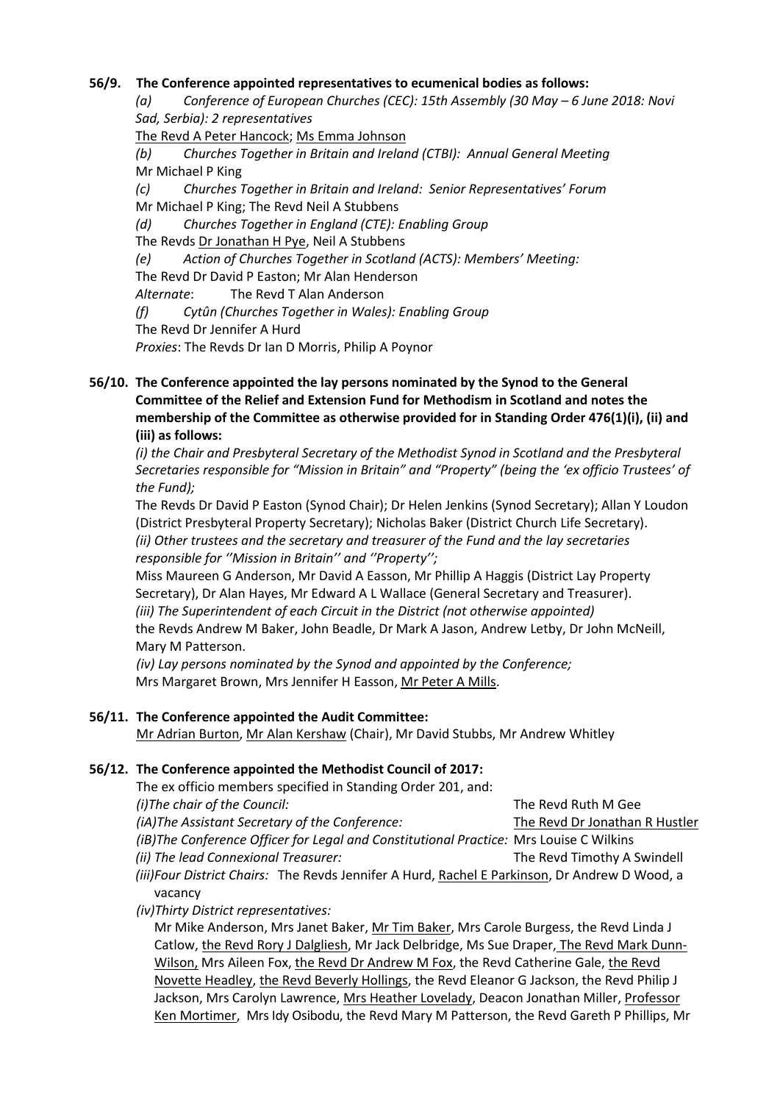## **56/9. The Conference appointed representatives to ecumenical bodies as follows:**

*(a) Conference of European Churches (CEC): 15th Assembly (30 May – 6 June 2018: Novi Sad, Serbia): 2 representatives*

The Revd A Peter Hancock; Ms Emma Johnson

*(b) Churches Together in Britain and Ireland (CTBI): Annual General Meeting*  Mr Michael P King

*(c) Churches Together in Britain and Ireland: Senior Representatives' Forum*  Mr Michael P King; The Revd Neil A Stubbens

*(d) Churches Together in England (CTE): Enabling Group* 

The Revds Dr Jonathan H Pye, Neil A Stubbens

*(e) Action of Churches Together in Scotland (ACTS): Members' Meeting:* The Revd Dr David P Easton; Mr Alan Henderson

*Alternate*: The Revd T Alan Anderson

*(f) Cytûn (Churches Together in Wales): Enabling Group*

The Revd Dr Jennifer A Hurd

*Proxies*: The Revds Dr Ian D Morris, Philip A Poynor

## **56/10. The Conference appointed the lay persons nominated by the Synod to the General Committee of the Relief and Extension Fund for Methodism in Scotland and notes the membership of the Committee as otherwise provided for in Standing Order 476(1)(i), (ii) and (iii) as follows:**

*(i) the Chair and Presbyteral Secretary of the Methodist Synod in Scotland and the Presbyteral Secretaries responsible for "Mission in Britain" and "Property" (being the 'ex officio Trustees' of the Fund);*

The Revds Dr David P Easton (Synod Chair); Dr Helen Jenkins (Synod Secretary); Allan Y Loudon (District Presbyteral Property Secretary); Nicholas Baker (District Church Life Secretary).

*(ii) Other trustees and the secretary and treasurer of the Fund and the lay secretaries responsible for ''Mission in Britain'' and ''Property'';*

Miss Maureen G Anderson, Mr David A Easson, Mr Phillip A Haggis (District Lay Property Secretary), Dr Alan Hayes, Mr Edward A L Wallace (General Secretary and Treasurer). *(iii) The Superintendent of each Circuit in the District (not otherwise appointed)* the Revds Andrew M Baker, John Beadle, Dr Mark A Jason, Andrew Letby, Dr John McNeill, Mary M Patterson.

*(iv) Lay persons nominated by the Synod and appointed by the Conference;* Mrs Margaret Brown, Mrs Jennifer H Easson, Mr Peter A Mills.

## **56/11. The Conference appointed the Audit Committee:**

Mr Adrian Burton, Mr Alan Kershaw (Chair), Mr David Stubbs, Mr Andrew Whitley

## **56/12. The Conference appointed the Methodist Council of 2017:**

The ex officio members specified in Standing Order 201, and:

| (i) The chair of the Council:                   | The Revd Ruth M Gee            |
|-------------------------------------------------|--------------------------------|
| (iA) The Assistant Secretary of the Conference: | The Revd Dr Jonathan R Hustler |

*(iB)The Conference Officer for Legal and Constitutional Practice:* Mrs Louise C Wilkins *(ii)* The lead Connexional Treasurer: The Revd Timothy A Swindell

*(iii)Four District Chairs:* The Revds Jennifer A Hurd, Rachel E Parkinson, Dr Andrew D Wood, a vacancy

*(iv)Thirty District representatives:*

Mr Mike Anderson, Mrs Janet Baker, Mr Tim Baker, Mrs Carole Burgess, the Revd Linda J Catlow, the Revd Rory J Dalgliesh, Mr Jack Delbridge, Ms Sue Draper, The Revd Mark Dunn-Wilson, Mrs Aileen Fox, the Revd Dr Andrew M Fox, the Revd Catherine Gale, the Revd Novette Headley, the Revd Beverly Hollings, the Revd Eleanor G Jackson, the Revd Philip J Jackson, Mrs Carolyn Lawrence, Mrs Heather Lovelady, Deacon Jonathan Miller, Professor Ken Mortimer, Mrs Idy Osibodu, the Revd Mary M Patterson, the Revd Gareth P Phillips, Mr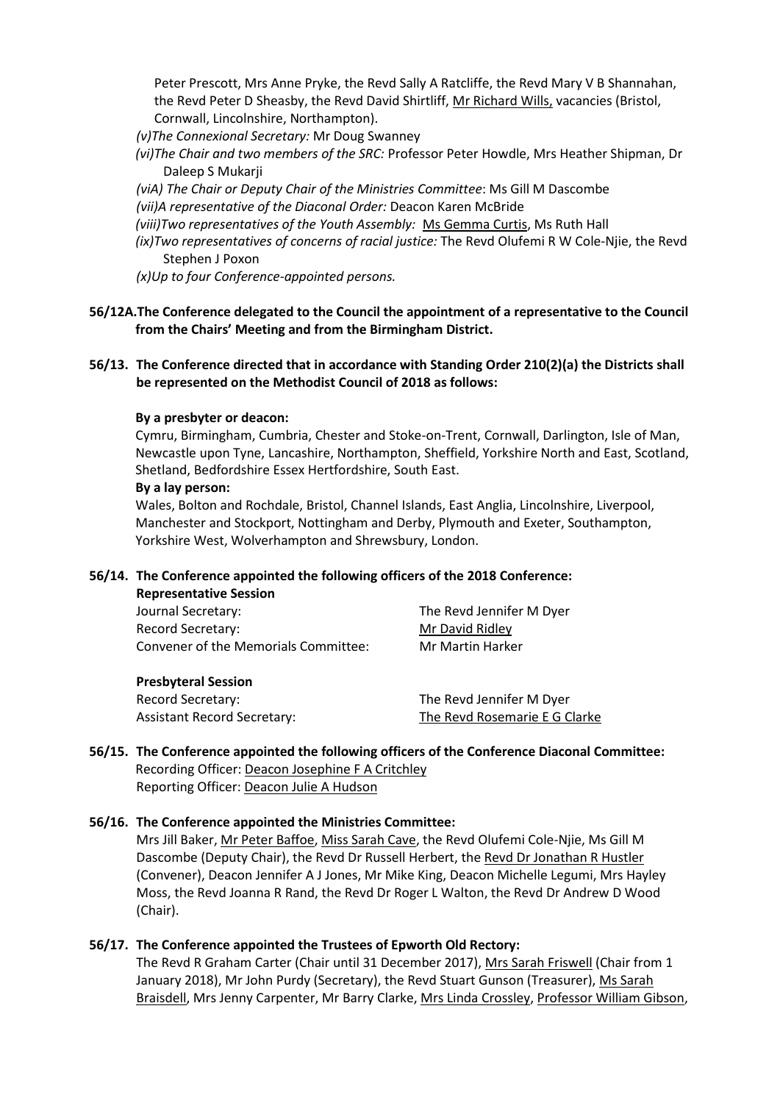Peter Prescott, Mrs Anne Pryke, the Revd Sally A Ratcliffe, the Revd Mary V B Shannahan, the Revd Peter D Sheasby, the Revd David Shirtliff, Mr Richard Wills, vacancies (Bristol, Cornwall, Lincolnshire, Northampton).

- *(v)The Connexional Secretary:* Mr Doug Swanney
- *(vi)The Chair and two members of the SRC:* Professor Peter Howdle, Mrs Heather Shipman, Dr Daleep S Mukarji
- *(viA) The Chair or Deputy Chair of the Ministries Committee*: Ms Gill M Dascombe
- *(vii)A representative of the Diaconal Order:* Deacon Karen McBride
- *(viii)Two representatives of the Youth Assembly:* Ms Gemma Curtis, Ms Ruth Hall
- *(ix)Two representatives of concerns of racial justice:* The Revd Olufemi R W Cole-Njie, the Revd Stephen J Poxon
- *(x)Up to four Conference-appointed persons.*

## **56/12A.The Conference delegated to the Council the appointment of a representative to the Council from the Chairs' Meeting and from the Birmingham District.**

## **56/13. The Conference directed that in accordance with Standing Order 210(2)(a) the Districts shall be represented on the Methodist Council of 2018 as follows:**

#### **By a presbyter or deacon:**

Cymru, Birmingham, Cumbria, Chester and Stoke-on-Trent, Cornwall, Darlington, Isle of Man, Newcastle upon Tyne, Lancashire, Northampton, Sheffield, Yorkshire North and East, Scotland, Shetland, Bedfordshire Essex Hertfordshire, South East.

#### **By a lay person:**

Wales, Bolton and Rochdale, Bristol, Channel Islands, East Anglia, Lincolnshire, Liverpool, Manchester and Stockport, Nottingham and Derby, Plymouth and Exeter, Southampton, Yorkshire West, Wolverhampton and Shrewsbury, London.

#### **56/14. The Conference appointed the following officers of the 2018 Conference:**

| <b>Representative Session</b>        |                          |
|--------------------------------------|--------------------------|
| Journal Secretary:                   | The Revd Jennifer M Dyer |
| Record Secretary:                    | Mr David Ridley          |
| Convener of the Memorials Committee: | Mr Martin Harker         |
| <b>Presbyteral Session</b>           |                          |

Record Secretary: The Revd Jennifer M Dyer

Assistant Record Secretary: The Revd Rosemarie E G Clarke

## **56/15. The Conference appointed the following officers of the Conference Diaconal Committee:** Recording Officer: Deacon Josephine F A Critchley Reporting Officer: Deacon Julie A Hudson

### **56/16. The Conference appointed the Ministries Committee:**

Mrs Jill Baker, Mr Peter Baffoe, Miss Sarah Cave, the Revd Olufemi Cole-Njie, Ms Gill M Dascombe (Deputy Chair), the Revd Dr Russell Herbert, the Revd Dr Jonathan R Hustler (Convener), Deacon Jennifer A J Jones, Mr Mike King, Deacon Michelle Legumi, Mrs Hayley Moss, the Revd Joanna R Rand, the Revd Dr Roger L Walton, the Revd Dr Andrew D Wood (Chair).

### **56/17. The Conference appointed the Trustees of Epworth Old Rectory:**

The Revd R Graham Carter (Chair until 31 December 2017), Mrs Sarah Friswell (Chair from 1 January 2018), Mr John Purdy (Secretary), the Revd Stuart Gunson (Treasurer), Ms Sarah Braisdell, Mrs Jenny Carpenter, Mr Barry Clarke, Mrs Linda Crossley, Professor William Gibson,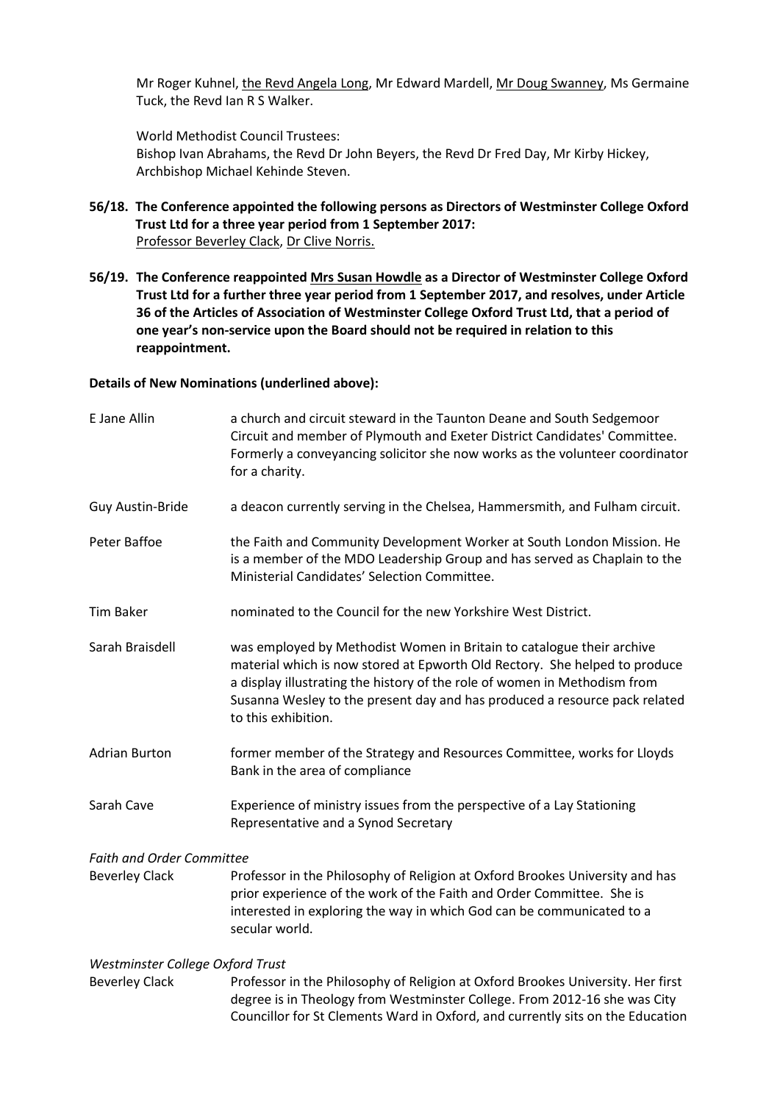Mr Roger Kuhnel, the Revd Angela Long, Mr Edward Mardell, Mr Doug Swanney, Ms Germaine Tuck, the Revd Ian R S Walker.

World Methodist Council Trustees: Bishop Ivan Abrahams, the Revd Dr John Beyers, the Revd Dr Fred Day, Mr Kirby Hickey, Archbishop Michael Kehinde Steven.

- **56/18. The Conference appointed the following persons as Directors of Westminster College Oxford Trust Ltd for a three year period from 1 September 2017:** Professor Beverley Clack, Dr Clive Norris.
- **56/19. The Conference reappointed Mrs Susan Howdle as a Director of Westminster College Oxford Trust Ltd for a further three year period from 1 September 2017, and resolves, under Article 36 of the Articles of Association of Westminster College Oxford Trust Ltd, that a period of one year's non-service upon the Board should not be required in relation to this reappointment.**

#### **Details of New Nominations (underlined above):**

| E Jane Allin                     | a church and circuit steward in the Taunton Deane and South Sedgemoor<br>Circuit and member of Plymouth and Exeter District Candidates' Committee.<br>Formerly a conveyancing solicitor she now works as the volunteer coordinator<br>for a charity.                                                                                  |
|----------------------------------|---------------------------------------------------------------------------------------------------------------------------------------------------------------------------------------------------------------------------------------------------------------------------------------------------------------------------------------|
| <b>Guy Austin-Bride</b>          | a deacon currently serving in the Chelsea, Hammersmith, and Fulham circuit.                                                                                                                                                                                                                                                           |
| Peter Baffoe                     | the Faith and Community Development Worker at South London Mission. He<br>is a member of the MDO Leadership Group and has served as Chaplain to the<br>Ministerial Candidates' Selection Committee.                                                                                                                                   |
| <b>Tim Baker</b>                 | nominated to the Council for the new Yorkshire West District.                                                                                                                                                                                                                                                                         |
| Sarah Braisdell                  | was employed by Methodist Women in Britain to catalogue their archive<br>material which is now stored at Epworth Old Rectory. She helped to produce<br>a display illustrating the history of the role of women in Methodism from<br>Susanna Wesley to the present day and has produced a resource pack related<br>to this exhibition. |
| <b>Adrian Burton</b>             | former member of the Strategy and Resources Committee, works for Lloyds<br>Bank in the area of compliance                                                                                                                                                                                                                             |
| Sarah Cave                       | Experience of ministry issues from the perspective of a Lay Stationing<br>Representative and a Synod Secretary                                                                                                                                                                                                                        |
| <b>Faith and Order Committee</b> |                                                                                                                                                                                                                                                                                                                                       |
| <b>Beverley Clack</b>            | Professor in the Philosophy of Religion at Oxford Brookes University and has<br>prior experience of the work of the Faith and Order Committee. She is<br>interested in exploring the way in which God can be communicated to a<br>secular world.                                                                                      |
| Westminster College Oxford Trust |                                                                                                                                                                                                                                                                                                                                       |

Beverley Clack Professor in the Philosophy of Religion at Oxford Brookes University. Her first degree is in Theology from Westminster College. From 2012-16 she was City Councillor for St Clements Ward in Oxford, and currently sits on the Education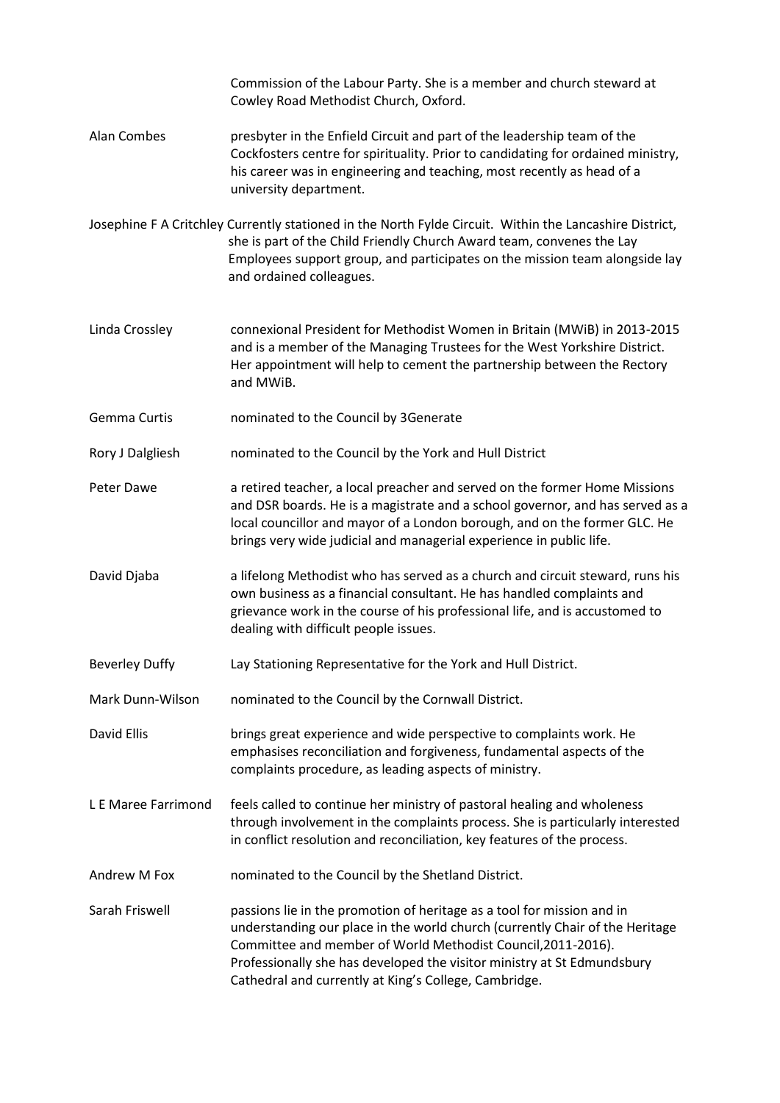|                       | Commission of the Labour Party. She is a member and church steward at<br>Cowley Road Methodist Church, Oxford.                                                                                                                                                                                                                                             |
|-----------------------|------------------------------------------------------------------------------------------------------------------------------------------------------------------------------------------------------------------------------------------------------------------------------------------------------------------------------------------------------------|
| <b>Alan Combes</b>    | presbyter in the Enfield Circuit and part of the leadership team of the<br>Cockfosters centre for spirituality. Prior to candidating for ordained ministry,<br>his career was in engineering and teaching, most recently as head of a<br>university department.                                                                                            |
|                       | Josephine F A Critchley Currently stationed in the North Fylde Circuit. Within the Lancashire District,<br>she is part of the Child Friendly Church Award team, convenes the Lay<br>Employees support group, and participates on the mission team alongside lay<br>and ordained colleagues.                                                                |
| Linda Crossley        | connexional President for Methodist Women in Britain (MWiB) in 2013-2015<br>and is a member of the Managing Trustees for the West Yorkshire District.<br>Her appointment will help to cement the partnership between the Rectory<br>and MWiB.                                                                                                              |
| Gemma Curtis          | nominated to the Council by 3Generate                                                                                                                                                                                                                                                                                                                      |
| Rory J Dalgliesh      | nominated to the Council by the York and Hull District                                                                                                                                                                                                                                                                                                     |
| Peter Dawe            | a retired teacher, a local preacher and served on the former Home Missions<br>and DSR boards. He is a magistrate and a school governor, and has served as a<br>local councillor and mayor of a London borough, and on the former GLC. He<br>brings very wide judicial and managerial experience in public life.                                            |
| David Djaba           | a lifelong Methodist who has served as a church and circuit steward, runs his<br>own business as a financial consultant. He has handled complaints and<br>grievance work in the course of his professional life, and is accustomed to<br>dealing with difficult people issues.                                                                             |
| <b>Beverley Duffy</b> | Lay Stationing Representative for the York and Hull District.                                                                                                                                                                                                                                                                                              |
| Mark Dunn-Wilson      | nominated to the Council by the Cornwall District.                                                                                                                                                                                                                                                                                                         |
| David Ellis           | brings great experience and wide perspective to complaints work. He<br>emphasises reconciliation and forgiveness, fundamental aspects of the<br>complaints procedure, as leading aspects of ministry.                                                                                                                                                      |
| L E Maree Farrimond   | feels called to continue her ministry of pastoral healing and wholeness<br>through involvement in the complaints process. She is particularly interested<br>in conflict resolution and reconciliation, key features of the process.                                                                                                                        |
| Andrew M Fox          | nominated to the Council by the Shetland District.                                                                                                                                                                                                                                                                                                         |
| Sarah Friswell        | passions lie in the promotion of heritage as a tool for mission and in<br>understanding our place in the world church (currently Chair of the Heritage<br>Committee and member of World Methodist Council, 2011-2016).<br>Professionally she has developed the visitor ministry at St Edmundsbury<br>Cathedral and currently at King's College, Cambridge. |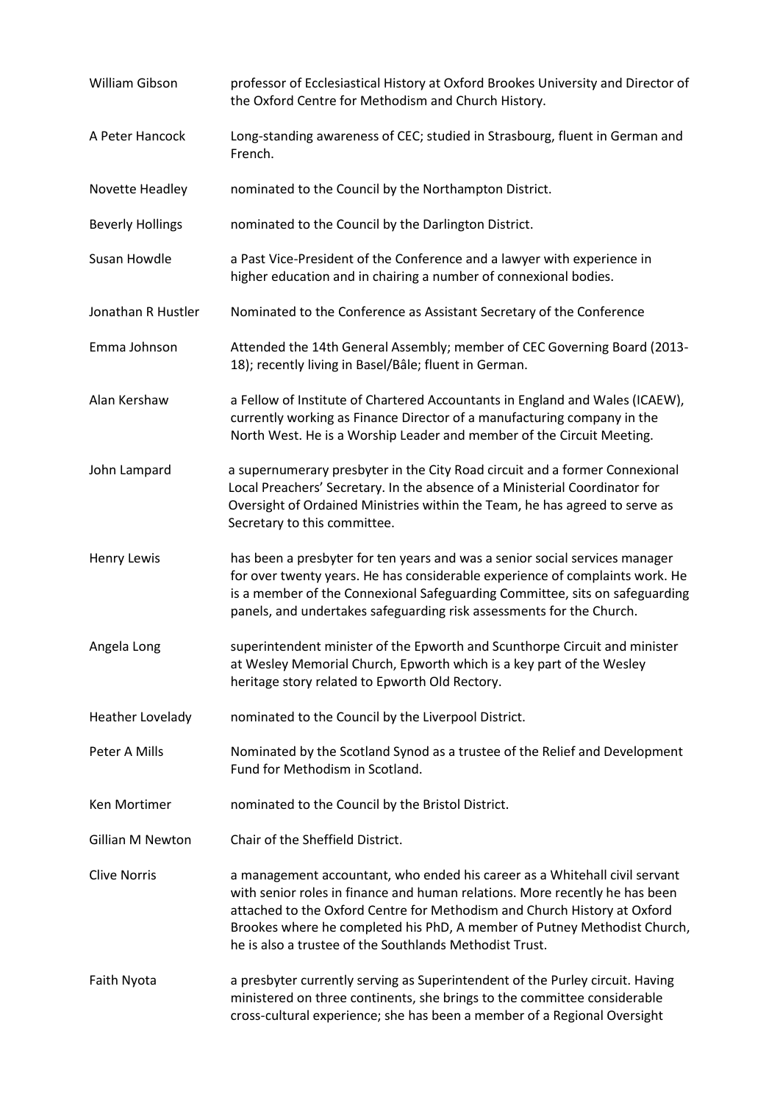| William Gibson          | professor of Ecclesiastical History at Oxford Brookes University and Director of<br>the Oxford Centre for Methodism and Church History.                                                                                                                                                                                                                                      |
|-------------------------|------------------------------------------------------------------------------------------------------------------------------------------------------------------------------------------------------------------------------------------------------------------------------------------------------------------------------------------------------------------------------|
| A Peter Hancock         | Long-standing awareness of CEC; studied in Strasbourg, fluent in German and<br>French.                                                                                                                                                                                                                                                                                       |
| Novette Headley         | nominated to the Council by the Northampton District.                                                                                                                                                                                                                                                                                                                        |
| <b>Beverly Hollings</b> | nominated to the Council by the Darlington District.                                                                                                                                                                                                                                                                                                                         |
| Susan Howdle            | a Past Vice-President of the Conference and a lawyer with experience in<br>higher education and in chairing a number of connexional bodies.                                                                                                                                                                                                                                  |
| Jonathan R Hustler      | Nominated to the Conference as Assistant Secretary of the Conference                                                                                                                                                                                                                                                                                                         |
| Emma Johnson            | Attended the 14th General Assembly; member of CEC Governing Board (2013-<br>18); recently living in Basel/Bâle; fluent in German.                                                                                                                                                                                                                                            |
| Alan Kershaw            | a Fellow of Institute of Chartered Accountants in England and Wales (ICAEW),<br>currently working as Finance Director of a manufacturing company in the<br>North West. He is a Worship Leader and member of the Circuit Meeting.                                                                                                                                             |
| John Lampard            | a supernumerary presbyter in the City Road circuit and a former Connexional<br>Local Preachers' Secretary. In the absence of a Ministerial Coordinator for<br>Oversight of Ordained Ministries within the Team, he has agreed to serve as<br>Secretary to this committee.                                                                                                    |
| <b>Henry Lewis</b>      | has been a presbyter for ten years and was a senior social services manager<br>for over twenty years. He has considerable experience of complaints work. He<br>is a member of the Connexional Safeguarding Committee, sits on safeguarding<br>panels, and undertakes safeguarding risk assessments for the Church.                                                           |
| Angela Long             | superintendent minister of the Epworth and Scunthorpe Circuit and minister<br>at Wesley Memorial Church, Epworth which is a key part of the Wesley<br>heritage story related to Epworth Old Rectory.                                                                                                                                                                         |
| <b>Heather Lovelady</b> | nominated to the Council by the Liverpool District.                                                                                                                                                                                                                                                                                                                          |
| Peter A Mills           | Nominated by the Scotland Synod as a trustee of the Relief and Development<br>Fund for Methodism in Scotland.                                                                                                                                                                                                                                                                |
| Ken Mortimer            | nominated to the Council by the Bristol District.                                                                                                                                                                                                                                                                                                                            |
| Gillian M Newton        | Chair of the Sheffield District.                                                                                                                                                                                                                                                                                                                                             |
| <b>Clive Norris</b>     | a management accountant, who ended his career as a Whitehall civil servant<br>with senior roles in finance and human relations. More recently he has been<br>attached to the Oxford Centre for Methodism and Church History at Oxford<br>Brookes where he completed his PhD, A member of Putney Methodist Church,<br>he is also a trustee of the Southlands Methodist Trust. |
| Faith Nyota             | a presbyter currently serving as Superintendent of the Purley circuit. Having<br>ministered on three continents, she brings to the committee considerable<br>cross-cultural experience; she has been a member of a Regional Oversight                                                                                                                                        |